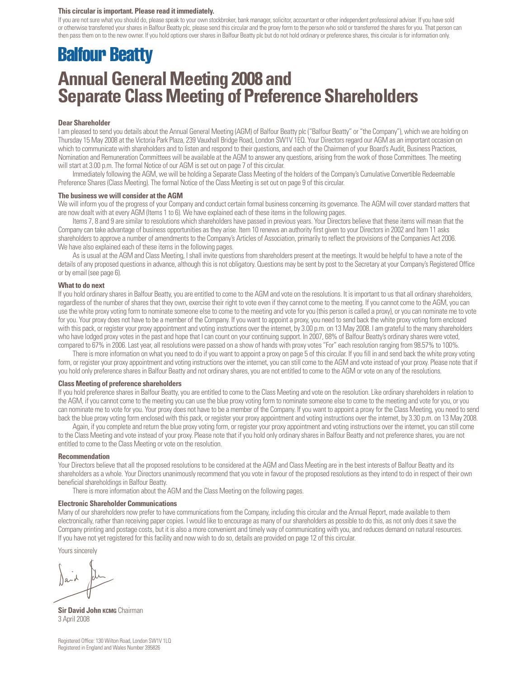#### **This circular is important. Please read it immediately.**

If you are not sure what you should do, please speak to your own stockbroker, bank manager, solicitor, accountant or other independent professional adviser. If you have sold or otherwise transferred yoursharesin Balfour Beatty plc, please send thiscircular and the proxyform to the person who sold or transferred the sharesforyou. That person can then passthem on to the new owner. Ifyou hold options oversharesin Balfour Beatty plc but do not hold ordinary or preference shares, thiscircular isfor information only.

# **Balfour Bea†y**

# **AnnualGeneral Meeting 2008 and Separate Class Meeting of Preference Shareholders**

#### **Dear Shareholder**

I am pleased to send you details about the Annual General Meeting (AGM) of Balfour Beatty plc ("Balfour Beatty" or "the Company"), which we are holding on Thursday 15 May 2008 at the Victoria Park Plaza, 239 Vauxhall Bridge Road, London SW1V 1EQ. Your Directors regard our AGM as an important occasion on which to communicate with shareholders and to listen and respond to their questions, and each of the Chairmen of your Board's Audit, Business Practices, Nomination and Remuneration Committees will be available at the AGM to answer any questions, arising from the work of those Committees. The meeting will start at 3.00 p.m. The formal Notice of our AGM is set out on page 7 of this circular.

Immediately following the AGM, we will be holding a Separate Class Meeting of the holders of the Company's Cumulative Convertible Redeemable Preference Shares (Class Meeting). The formal Notice of the Class Meeting is set out on page 9 of this circular.

#### **The business we will consider at the AGM**

We will inform you of the progress of your Company and conduct certain formal business concerning its governance. The AGM will cover standard matters that are now dealt with at every AGM (Items 1 to 6). We have explained each of these itemsin the following pages.

Items 7, 8 and 9 are similar to resolutions which shareholders have passed in previous years. Your Directors believe that these items will mean that the Company can take advantage of business opportunities as they arise. Item 10 renews an authority first given to your Directors in 2002 and Item 11 asks shareholders to approve a number of amendments to the Company's Articles of Association, primarily to reflect the provisions of the Companies Act 2006. We have also explained each of these items in the following pages.

As is usual at the AGM and Class Meeting, I shall invite questions from shareholders present at the meetings. It would be helpful to have a note of the details of any proposed questions in advance, although this is not obligatory. Questions may be sent by post to the Secretary at your Company's Registered Office or by email (see page 6).

#### **What to do next**

If you hold ordinary shares in Balfour Beatty, you are entitled to come to the AGM and vote on the resolutions. It is important to us that all ordinary shareholders, regardless of the number of shares that they own, exercise their right to vote even if they cannot come to the meeting. If you cannot come to the AGM, you can use the white proxy voting form to nominate someone else to come to the meeting and vote for you (this person is called a proxy), or you can nominate me to vote for you. Your proxy does not have to be a member of the Company. If you want to appoint a proxy, you need to send back the white proxy voting form enclosed with this pack, or register your proxy appointment and voting instructions over the internet, by 3.00 p.m. on 13 May 2008. I am grateful to the many shareholders who have lodged proxy votes in the past and hope that I can count on your continuing support. In 2007, 68% of Balfour Beatty's ordinary shares were voted, compared to 67% in 2006. Last year, all resolutions were passed on a show of hands with proxy votes "For" each resolution ranging from 98.57% to 100%.

There is more information on what you need to do if you want to appoint a proxy on page 5 of this circular. If you fill in and send back the white proxy voting form, or register your proxy appointment and voting instructions over the internet, you can still come to the AGM and vote instead of your proxy. Please note that if you hold only preference shares in Balfour Beatty and not ordinary shares, you are not entitled to come to the AGM or vote on any of the resolutions.

#### **Class Meeting of preference shareholders**

If you hold preference shares in Balfour Beatty, you are entitled to come to the Class Meeting and vote on the resolution. Like ordinary shareholders in relation to the AGM, if you cannot come to the meeting you can use the blue proxy voting form to nominate someone else to come to the meeting and vote for you, or you can nominate me to vote for you. Your proxy does not have to be a member of the Company. If you want to appoint a proxy for the Class Meeting, you need to send back the blue proxy voting form enclosed with this pack, or register your proxy appointment and voting instructions over the internet, by 3.30 p.m. on 13 May 2008.

Again, if you complete and return the blue proxy voting form, or register your proxy appointment and voting instructions over the internet, you can still come to the Class Meeting and vote instead of your proxy. Please note that if you hold only ordinary shares in Balfour Beatty and not preference shares, you are not entitled to come to the Class Meeting or vote on the resolution.

## **Recommendation**

Your Directors believe that all the proposed resolutions to be considered at the AGM and Class Meeting are in the best interests of Balfour Beatty and its shareholders as a whole. Your Directors unanimously recommend that you vote in favour of the proposed resolutions as they intend to do in respect of their own beneficial shareholdings in Balfour Beatty.

There is more information about the AGM and the Class Meeting on the following pages.

#### **Electronic Shareholder Communications**

Many of our shareholders now prefer to have communications from the Company, including this circular and the Annual Report, made available to them electronically, rather than receiving paper copies. I would like to encourage as many of our shareholders as possible to do this, as not only does it save the Company printing and postage costs, but it is also a more convenient and timely way of communicating with you, and reduces demand on natural resources. If you have not yet registered for this facility and now wish to do so, details are provided on page 12 of this circular.

Yours sincerely

**Sir David John KCMG** Chairman 3 April 2008

Registered Office: 130 Wilton Road, London SW1V 1LQ Registered in England and Wales Number 395826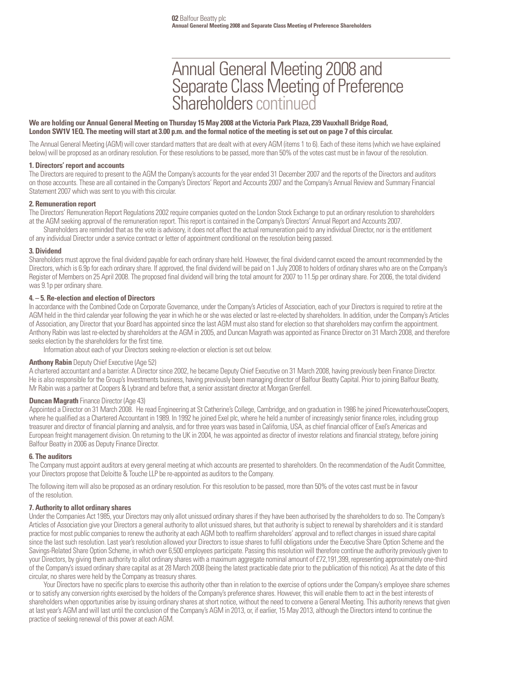## Annual General Meeting 2008 and Separate Class Meeting of Preference Shareholders continued

## We are holding our Annual General Meeting on Thursday 15 May 2008 at the Victoria Park Plaza, 239 Vauxhall Bridge Road, London SW1V 1EQ. The meeting will start at 3.00 p.m. and the formal notice of the meeting is set out on page 7 of this circular.

The Annual General Meeting (AGM) will cover standard matters that are dealt with at every AGM (items 1 to 6). Each of these items (which we have explained below) will be proposed as an ordinary resolution. For these resolutions to be passed, more than 50% of the votes cast must be in favour of the resolution.

## **1. Directors' report and accounts**

The Directors are required to present to the AGM the Company's accountsfor the year ended 31 December 2007 and the reports of the Directors and auditors on those accounts. These are allcontained in the Company's Directors' Report and Accounts 2007 and the Company's Annual Review and SummaryFinancial Statement 2007 which was sent to you with this circular.

## **2. Remuneration report**

The Directors' Remuneration Report Regulations 2002 require companies quoted on the London Stock Exchange to put an ordinaryresolution to shareholders at the AGM seeking approval of the remuneration report. Thisreport iscontained in the Company's Directors' Annual Report and Accounts 2007.

Shareholders are reminded that as the vote is advisory, it does not affect the actual remuneration paid to any individual Director, nor is the entitlement of anyindividual Director under a service contract or letter of appointmentconditional on the resolution being passed.

## **3. Dividend**

Shareholders must approve the final dividend payable for each ordinary share held. However, the final dividend cannot exceed the amount recommended by the Directors, which is 6.9p for each ordinaryshare. If approved, the final dividend will be paid on 1 July 2008 to holders of ordinaryshares who are on the Company's Register of Members on 25 April 2008. The proposed final dividend will bring the total amount for 2007 to 11.5p per ordinary share. For 2006, the total dividend was 9.1p per ordinary share.

## **4. – 5. Re-election and election of Directors**

In accordance with the Combined Code on Corporate Governance, under the Company's Articles of Association, each of your Directors is required to retire at the AGM held in the third calendaryear following the year in which he orshe was elected or last re-elected byshareholders. In addition, under the Company's Articles of Association, any Director thatyour Board has appointed since the last AGM must also stand for election so thatshareholders mayconfirm the appointment. Anthony Rabin was last re-elected by shareholders at the AGM in 2005, and Duncan Magrath was appointed as Finance Director on 31 March 2008, and therefore seeks election by the shareholders for the first time.

Information about each of your Directors seeking re-election or election is set out below.

## **Anthony Rabin** Deputy Chief Executive (Age 52)

A chartered accountant and a barrister. A Directorsince 2002, he became Deputy Chief Executive on 31 March 2008, having previously been Finance Director. He is also responsible for the Group's Investments business, having previously been managing director of Balfour Beatty Capital. Prior to joining Balfour Beatty, Mr Rabin was a partner at Coopers & Lybrand and before that, a senior assistant director at Morgan Grenfell.

## **Duncan Magrath** Finance Director (Age 43)

Appointed a Director on 31 March 2008. He read Engineering at St Catherine's College, Cambridge, and on graduation in 1986 he joined PricewaterhouseCoopers, where he qualified as a Chartered Accountant in 1989. In 1992 he joined Exel plc, where he held a number of increasingly senior finance roles, including group treasurer and director of financial planning and analysis, and for three years was based in California, USA, aschief financial officer of Exel's Americas and European freight management division. On returning to the UK in 2004, he was appointed as director of investor relations and financialstrategy, before joining Balfour Beatty in 2006 as Deputy Finance Director.

## **6. The auditors**

The Company must appoint auditors at every general meeting at which accounts are presented to shareholders. On the recommendation of the Audit Committee, your Directors propose that Deloitte & Touche LLP be re-appointed as auditors to the Company.

The following item will also be proposed as an ordinary resolution. For this resolution to be passed, more than 50% of the votes cast must be in favour of the resolution.

## **7. Authority to allot ordinary shares**

Under the Companies Act 1985, your Directors may only allot unissued ordinary shares if they have been authorised by the shareholders to do so. The Company's Articles of Association give your Directors a general authority to allot unissued shares, but that authority is subject to renewal by shareholders and it is standard practice for most public companies to renew the authority at each AGM both to reaffirm shareholders' approval and to reflect changes in issued share capital since the last such resolution. Last year's resolution allowed your Directors to issue shares to fulfil obligations under the Executive Share Option Scheme and the Savings-Related Share Option Scheme, in which over 6,500 employees participate. Passing this resolution will therefore continue the authority previously given to your Directors, by giving them authority to allot ordinary shares with a maximum aggregate nominal amount of £72,191,399, representing approximately one-third of the Company'sissued ordinaryshare capital as at 28 March 2008 (being the latest practicable date prior to the publication of this notice). As at the date of this circular, no shares were held by the Company as treasury shares.

Your Directors have no specific plans to exercise this authority other than in relation to the exercise of options under the Company's employee share schemes or to satisfy anyconversion rights exercised bythe holders of the Company's preference shares. However, this will enable them to act in the best interests of shareholders when opportunities arise by issuing ordinary shares at short notice, without the need to convene a General Meeting. This authority renews that given at last year's AGM and will last until the conclusion of the Company's AGM in 2013, or, if earlier, 15 May 2013, although the Directors intend to continue the practice of seeking renewal of this power at each AGM.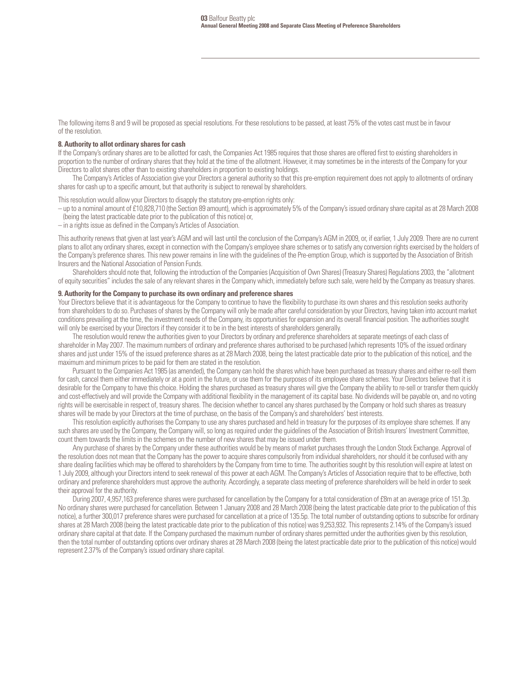The following items 8 and 9 will be proposed as special resolutions. For these resolutions to be passed, at least 75% of the votes cast must be in favour of the resolution.

### **8. Authority to allot ordinary shares for cash**

If the Company's ordinary shares are to be allotted for cash, the Companies Act 1985 requires that those shares are offered first to existing shareholders in proportion to the number of ordinarysharesthat they hold at the time of the allotment. However, it maysometimes be in the interests of the Companyforyour Directors to allot shares other than to existing shareholders in proportion to existing holdings.

The Company's Articles of Association give your Directors a general authority so that this pre-emption requirement does not apply to allotments of ordinary shares for cash up to a specific amount, but that authority is subject to renewal by shareholders.

This resolution would allow your Directors to disapply the statutory pre-emption rights only:

– up to a nominal amount of £10,828,710 (the Section 89 amount), which is approximately 5% of the Company'sissued ordinaryshare capital as at 28 March 2008 (being the latest practicable date prior to the publication of this notice) or,

 $-$  in a rights issue as defined in the Company's Articles of Association.

This authority renews that given at last year's AGM and will last until the conclusion of the Company's AGM in 2009, or, if earlier, 1 July 2009. There are no current plans to allot any ordinary shares, except in connection with the Company's employee share schemes or to satisfy any conversion rights exercised by the holders of the Company's preference shares. This new power remainsin line with the guidelines of the Pre-emption Group, which issupported bythe Association of British Insurers and the National Association of Pension Funds.

Shareholders should note that, following the introduction of the Companies (Acquisition of Own Shares) (Treasury Shares) Regulations 2003, the "allotment of equitysecurities"includesthe sale of anyrelevantsharesin the Company which, immediately before such sale, were held bythe Company astreasuryshares.

## **9. Authority for the Company to purchase its own ordinary and preference shares**

Your Directors believe that it is advantageous for the Company to continue to have the flexibility to purchase its own shares and this resolution seeks authority from shareholders to do so. Purchases of shares by the Company will only be made after careful consideration by your Directors, having taken into account market conditions prevailing at the time, the investment needs of the Company, its opportunities for expansion and its overall financial position. The authorities sought will only be exercised by your Directors if they consider it to be in the best interests of shareholders generally.

The resolution would renew the authorities given to your Directors by ordinary and preference shareholders at separate meetings of each class of shareholder in May 2007. The maximum numbers of ordinary and preference shares authorised to be purchased (which represents 10% of the issued ordinary shares and just under 15% of the issued preference shares as at 28 March 2008, being the latest practicable date prior to the publication of this notice), and the maximum and minimum prices to be paid for them are stated in the resolution.

Pursuant to the Companies Act 1985 (as amended), the Company can hold the shares which have been purchased as treasury shares and either re-sell them for cash, cancel them either immediately or at a point in the future, or use them for the purposes of its employee share schemes. Your Directors believe that it is desirable for the Company to have this choice. Holding the shares purchased as treasury shares will give the Company the ability to re-sell or transfer them quickly and cost-effectively and will provide the Company with additional flexibilityin the management of itscapital base. No dividends will be payable on, and no voting rights will be exercisable in respect of, treasury shares. The decision whether to cancel any shares purchased by the Company or hold such shares as treasury shares will be made byyour Directors at the time of purchase, on the basis of the Company's and shareholders' best interests.

This resolution explicitly authorises the Company to use any shares purchased and held in treasury for the purposes of its employee share schemes. If any such shares are used by the Company, the Company will, so long as required under the guidelines of the Association of British Insurers' Investment Committee, count them towards the limits in the schemes on the number of new shares that may be issued under them.

Any purchase of shares by the Company under these authorities would be by means of market purchases through the London Stock Exchange. Approval of the resolution does not mean that the Company has the power to acquire shares compulsorily from individual shareholders, nor should it be confused with any share dealing facilities which may be offered to shareholders by the Company from time to time. The authorities sought by this resolution will expire at latest on 1 July 2009, although your Directorsintend to seekrenewal of this power at each AGM. The Company's Articles of Association require that to be effective, both ordinary and preference shareholders must approve the authority. Accordingly, a separate class meeting of preference shareholders will be held in order to seek their approval for the authority.

During 2007, 4,957,163 preference shares were purchased for cancellation by the Company for a total consideration of £8m at an average price of 151.3p. No ordinaryshares were purchased forcancellation. Between 1 January 2008 and 28 March 2008 (being the latest practicable date prior to the publication of this notice), a further 300,017 preference shares were purchased forcancellation at a price of 135.5p. The total number of outstanding optionsto subscribe for ordinary shares at 28 March 2008 (being the latest practicable date prior to the publication of this notice) was 9,253,932. Thisrepresents 2.14% of the Company'sissued ordinaryshare capital at that date. If the Company purchased the maximum number of ordinaryshares permitted under the authorities given bythisresolution, then the total number of outstanding options over ordinaryshares at 28 March 2008 (being the latest practicable date prior to the publication of this notice) would represent 2.37% of the Company's issued ordinary share capital.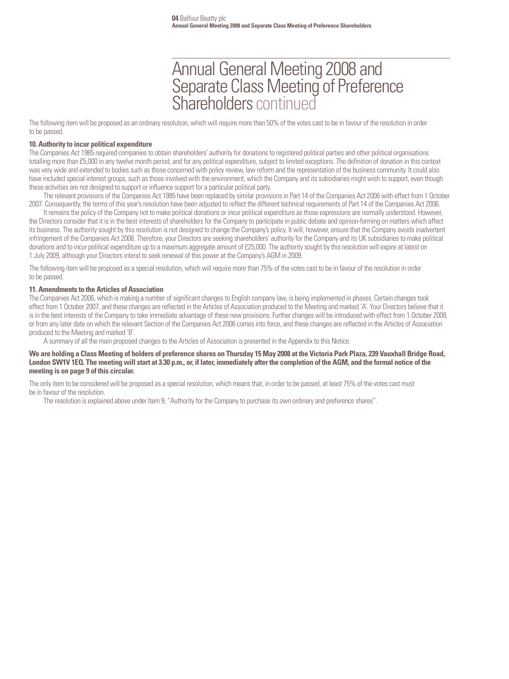## Annual General Meeting 2008 and Separate Class Meeting of Preference Shareholders continued

The following item will be proposed as an ordinary resolution, which will require more than 50% of the votes cast to be in favour of the resolution in order to be passed.

## **10. Authority to incur political expenditure**

The Companies Act 1985 required companies to obtain shareholders' authority for donations to registered political parties and other political organisations totalling more than £5,000 in any twelve month period, and for any political expenditure, subject to limited exceptions. The definition of donation in this context was very wide and extended to bodies such as those concerned with policy review, law reform and the representation of the business community. It could also have included special interest groups, such as those involved with the environment, which the Company and its subsidiaries might wish to support, even though these activities are not designed to support or influence support for a particular political party.

The relevant provisions of the Companies Act 1985 have been replaced by similar provisions in Part 14 of the Companies Act 2006 with effect from 1 October 2007. Consequently, the terms of thisyear'sresolution have been adjusted to reflect the different technical requirements of Part 14 of the Companies Act 2006.

It remains the policy of the Company not to make political donations or incur political expenditure as those expressions are normally understood. However, the Directors consider that it is in the best interests of shareholders for the Company to participate in public debate and opinion-forming on matters which affect its business. The authority sought by this resolution is not designed to change the Company's policy. It will, however, ensure that the Company avoids inadvertent infringement of the Companies Act 2006. Therefore, your Directors are seeking shareholders' authority for the Company and its UK subsidiaries to make political donations and to incur political expenditure up to a maximum aggregate amount of £25,000. The authority sought by this resolution will expire at latest on 1 July 2009, although your Directorsintend to seekrenewal of this power at the Company's AGM in 2009.

The following item will be proposed as a special resolution, which will require more than 75% of the votes cast to be in favour of the resolution in order to be passed.

## **11. Amendments to the Articles of Association**

The Companies Act 2006, which is making a number of significant changes to English company law, is being implemented in phases. Certain changes took effect from 1 October 2007, and these changes are reflected in the Articles of Association produced to the Meeting and marked 'A'. Your Directors believe that it is in the best interests of the Company to take immediate advantage of these new provisions. Further changes will be introduced with effect from 1 October 2008, or from anylater date on which the relevant Section of the Companies Act 2006 comesinto force, and these changes are reflected in the Articles of Association produced to the Meeting and marked 'B'.

A summary of all the main proposed changes to the Articles of Association is presented in the Appendix to this Notice.

## We are holding a Class Meeting of holders of preference shares on Thursday 15 May 2008 at the Victoria Park Plaza, 239 Vauxhall Bridge Road, London SW1V 1EQ. The meeting will start at 3.30 p.m., or, if later, immediately after the completion of the AGM, and the formal notice of the **meeting is on page 9 of this circular.**

The only item to be considered will be proposed as a special resolution, which means that, in order to be passed, at least 75% of the votes cast must be in favour of the resolution.

The resolution is explained above under Item 9, "Authority for the Company to purchase its own ordinary and preference shares".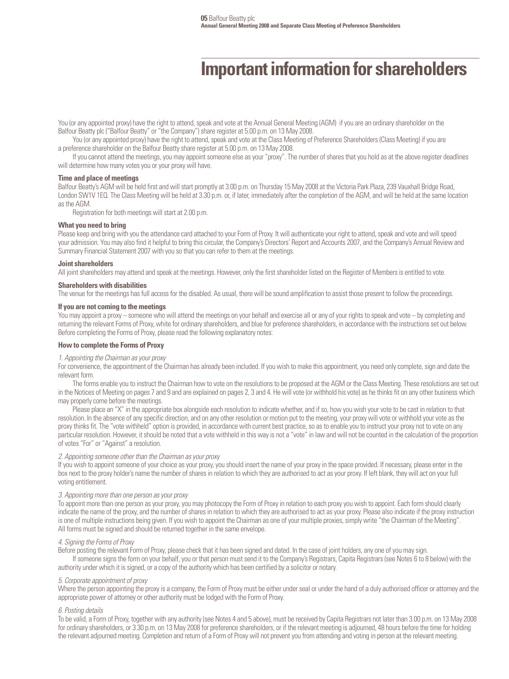# **Important information for shareholders**

You (or any appointed proxy) have the right to attend, speak and vote at the Annual General Meeting (AGM) if you are an ordinary shareholder on the Balfour Beatty plc ("Balfour Beatty" or "the Company") share register at 5.00 p.m. on 13 May 2008.

You (or any appointed proxy) have the right to attend, speak and vote at the Class Meeting of Preference Shareholders (Class Meeting) if you are a preference shareholder on the Balfour Beatty share register at 5.00 p.m. on 13 May 2008.

If you cannot attend the meetings, you may appoint someone else as your "proxy". The number of shares that you hold as at the above register deadlines will determine how many votes you or your proxy will have.

## **Time and place of meetings**

Balfour Beatty's AGM will be held first and will start promptly at 3.00 p.m. on Thursday 15 May 2008 at the Victoria Park Plaza, 239 Vauxhall Bridge Road, London SW1V 1EQ. The Class Meeting will be held at 3.30 p.m. or, if later, immediately after the completion of the AGM, and will be held at the same location asthe AGM.

Registration for both meetings will start at 2.00 p.m.

## **What you need to bring**

Please keep and bring with you the attendance card attached to your Form of Proxy. It will authenticate your right to attend, speak and vote and will speed your admission. You may also find it helpful to bring thiscircular, the Company's Directors' Report and Accounts 2007, and the Company's Annual Review and Summary Financial Statement 2007 with you so that you can refer to them at the meetings.

## **Joint shareholders**

All joint shareholders may attend and speak at the meetings. However, only the first shareholder listed on the Register of Members is entitled to vote.

## **Shareholders with disabilities**

The venue for the meetings has full access for the disabled. As usual, there will be sound amplification to assist those present to follow the proceedings.

## **If you are not coming to the meetings**

You may appoint a proxy – someone who will attend the meetings on your behalf and exercise all or any of your rights to speak and vote – by completing and returning the relevant Forms of Proxy, white for ordinary shareholders, and blue for preference shareholders, in accordance with the instructions set out below. Before completing the Forms of Proxy, please read the following explanatory notes:

## **How to complete the Forms of Proxy**

## *1. Appointing the Chairman asyour proxy*

For convenience, the appointment of the Chairman has already been included. If you wish to make this appointment, you need only complete, sign and date the relevant form.

The forms enable you to instruct the Chairman how to vote on the resolutions to be proposed at the AGM or the Class Meeting. These resolutions are set out in the Notices of Meeting on pages 7 and 9 and are explained on pages 2, 3 and 4. He will vote (or withhold his vote) as he thinks fit on any other business which may properly come before the meetings.

Please place an "X" in the appropriate box alongside each resolution to indicate whether, and if so, how you wish your vote to be cast in relation to that resolution. In the absence of any specific direction, and on any other resolution or motion put to the meeting, your proxy will vote or withhold your vote as the proxy thinks fit. The "vote withheld" option is provided, in accordance with current best practice, so as to enable you to instruct your proxy not to vote on any particular resolution. However, it should be noted that a vote withheld in this way is not a "vote" in law and will not be counted in the calculation of the proportion of votes "For" or "Against" a resolution.

#### *2. Appointing someone other than the Chairman asyour proxy*

If you wish to appoint someone of your choice as your proxy, you should insert the name of your proxy in the space provided. If necessary, please enter in the box next to the proxy holder's name the number of shares in relation to which they are authorised to act as your proxy. If left blank, they will act on your full voting entitlement.

## *3. Appointing more than one person asyour proxy*

To appoint more than one person as your proxy, you may photocopy the Form of Proxy in relation to each proxy you wish to appoint. Each form should clearly indicate the name of the proxy, and the number of shares in relation to which they are authorised to act as your proxy. Please also indicate if the proxy instruction is one of multiple instructions being given. Ifyou wish to appoint the Chairman as one ofyour multiple proxies,simply write "the Chairman of the Meeting". All forms must be signed and should be returned together in the same envelope.

## *4. Signing the Forms of Proxy*

Before posting the relevant Form of Proxy, please check that it has been signed and dated. In the case of joint holders, any one of you may sign. If someone signs the form on your behalf, you or that person must send it to the Company's Registrars, Capita Registrars (see Notes 6 to 8 below) with the authority under which it issigned, or a copy of the authority which has been certified by a solicitor or notary.

#### *5. Corporate appointment of proxy*

Where the person appointing the proxy is a company, the Form of Proxy must be either under seal or under the hand of a duly authorised officer or attorney and the appropriate power of attorney or other authority must be lodged with the Form of Proxy.

## *6. Posting details*

To be valid, a Form of Proxy, together with any authority(see Notes 4 and 5 above), must be received by Capita Registrars not later than 3.00 p.m. on 13 May 2008 for ordinary shareholders, or 3.30 p.m. on 13 May 2008 for preference shareholders, or if the relevant meeting is adjourned, 48 hours before the time for holding the relevant adjourned meeting. Completion and return of a Form of Proxy will not preventyou from attending and voting in person at the relevant meeting.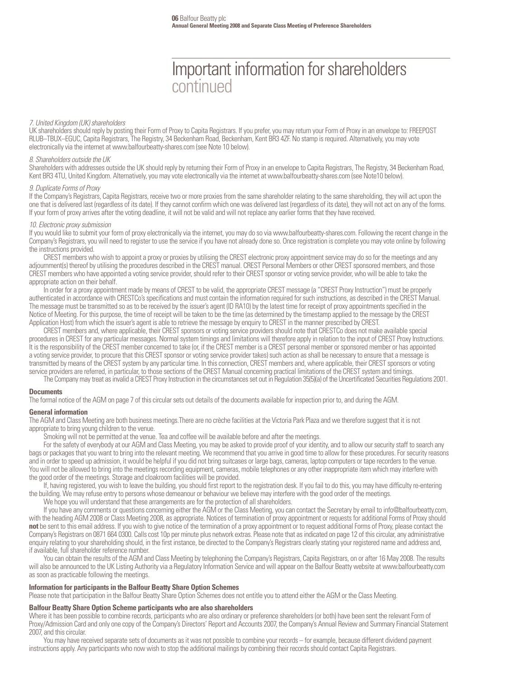## Important information for shareholders continued

## *7. United Kingdom (UK)shareholders*

UK shareholders should reply by posting their Form of Proxy to Capita Registrars. If you prefer, you may return your Form of Proxy in an envelope to: FREEPOST RLUB–TBUX–EGUC, Capita Registrars, The Registry, 34 Beckenham Road, Beckenham, Kent BR3 4ZF. No stamp isrequired. Alternatively,you mayvote electronicallyvia the internet at www.balfourbeatty-shares.com (see Note 10 below).

#### *8. Shareholders outside the UK*

Shareholders with addresses outside the UK should reply by returning their Form of Proxy in an envelope to Capita Registrars, The Registry, 34 Beckenham Road, Kent BR3 4TU, United Kingdom. Alternatively, you may vote electronically via the internet at www.balfourbeatty-shares.com (see Note10 below).

## *9. Duplicate Forms of Proxy*

If the Company's Registrars, Capita Registrars, receive two or more proxiesfrom the same shareholder relating to the same shareholding, they will act upon the one that is delivered last (regardless of its date). If theycannotconfirm which one was delivered last (regardless of its date), they will not act on any of the forms. Ifyour form of proxy arrives after the voting deadline, it will not be valid and will not replace any earlier formsthat they have received.

## *10. Electronic proxysubmission*

If you would like to submit your form of proxy electronically via the internet, you may do so via www.balfourbeatty-shares.com. Following the recent change in the Company's Registrars, you will need to register to use the service if you have not already done so. Once registration is complete you may vote online by following the instructions provided.

CREST members who wish to appoint a proxy or proxies by utilising the CREST electronic proxy appointment service may do so for the meetings and any adjournment(s) thereof by utilising the procedures described in the CREST manual. CREST Personal Members or other CREST sponsored members, and those CREST members who have appointed a voting service provider, should refer to their CREST sponsor or voting service provider, who will be able to take the appropriate action on their behalf.

In order for a proxy appointment made by means of CREST to be valid, the appropriate CREST message (a "CREST Proxy Instruction") must be properly authenticated in accordance with CRESTCo's specifications and must contain the information required for such instructions, as described in the CREST Manual. The message must be transmitted so as to be received by the issuer's agent (ID RA10) by the latest time for receipt of proxy appointments specified in the Notice of Meeting. For this purpose, the time of receipt will be taken to be the time (as determined by the timestamp applied to the message by the CREST Application Host) from which the issuer's agent is able to retrieve the message by enquiryto CREST in the manner prescribed by CREST.

CREST members and, where applicable, their CREST sponsors orvoting service providersshould note that CRESTCo does not make available special procedures in CREST for any particular messages. Normal system timings and limitations will therefore apply in relation to the input of CREST Proxy Instructions. It isthe responsibility of the CREST memberconcerned to take (or, if the CREST member is a CREST personal member orsponsored member or has appointed a voting service provider, to procure that this CREST sponsor or voting service provider takes) such action as shall be necessary to ensure that a message is transmitted by means of the CREST system by any particular time. In thisconnection, CREST members and, where applicable, their CREST sponsors orvoting service providers are referred, in particular, to those sections of the CREST Manual concerning practical limitations of the CREST system and timings.

The Company may treat as invalid a CREST Proxy Instruction in the circumstances set out in Regulation 35(5)(a) of the Uncertificated Securities Regulations 2001.

#### **Documents**

The formal notice of the AGM on page 7 of this circular sets out details of the documents available for inspection prior to, and during the AGM.

#### **General information**

The AGM and Class Meeting are both business meetings.There are no crèche facilities at the Victoria Park Plaza and we therefore suggest that it is not appropriate to bring young children to the venue.

Smoking will not be permitted at the venue. Tea and coffee will be available before and after the meetings.

For the safety of everybody at our AGM and Class Meeting, you may be asked to provide proof of your identity, and to allow our security staff to search any bags or packages that you want to bring into the relevant meeting. We recommend that you arrive in good time to allow for these procedures. For security reasons and in order to speed up admission, it would be helpful if you did not bring suitcases or large bags, cameras, laptop computers or tape recorders to the venue. You will not be allowed to bring into the meetings recording equipment, cameras, mobile telephones or any other inappropriate item which may interfere with the good order of the meetings. Storage and cloakroom facilities will be provided.

If, having registered, you wish to leave the building, you should first report to the registration desk. If you fail to do this, you may have difficulty re-entering the building. We mayrefuse entryto persons whose demeanour or behaviour we believe mayinterfere with the good order of the meetings.

We hope you will understand that these arrangements are for the protection of all shareholders.

If you have any comments or questions concerning either the AGM or the Class Meeting, you can contact the Secretary by email to info@balfourbeatty.com, with the heading AGM 2008 or Class Meeting 2008, as appropriate. Notices of termination of proxy appointment or requests for additional Forms of Proxy should not be sent to this email address. If you wish to give notice of the termination of a proxy appointment or to request additional Forms of Proxy, please contact the Company's Registrars on 0871 664 0300. Calls cost 10p per minute plus network extras. Please note that as indicated on page 12 of this circular, any administrative enquiry relating to your shareholding should, in the first instance, be directed to the Company's Registrars clearly stating your registered name and address and, if available, full shareholder reference number.

You can obtain the results of the AGM and Class Meeting by telephoning the Company's Registrars, Capita Registrars, on or after 16 May 2008. The results will also be announced to the UK Listing Authority via a Regulatory Information Service and will appear on the Balfour Beatty website at www.balfourbeatty.com as soon as practicable following the meetings.

## **Information for participants in the Balfour Beatty Share Option Schemes**

Please note that participation in the Balfour Beatty Share Option Schemes does not entitle you to attend either the AGM or the Class Meeting.

## **Balfour Beatty Share Option Scheme participants who are also shareholders**

Where it has been possible to combine records, participants who are also ordinary or preference shareholders (or both) have been sent the relevant Form of Proxy/Admission Card and only one copy of the Company's Directors' Report and Accounts 2007, the Company's Annual Review and Summary Financial Statement 2007 and this circular.

You may have received separate sets of documents as it was not possible to combine your records – for example, because different dividend payment instructions apply. Any participants who now wish to stop the additional mailings bycombining their recordsshould contact Capita Registrars.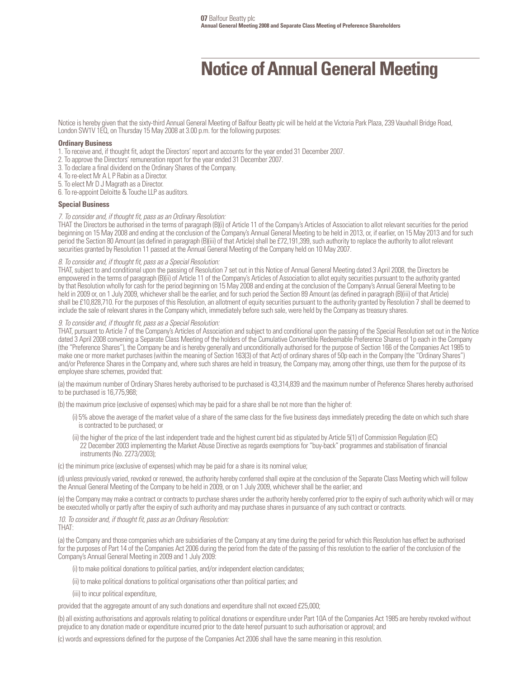# **Notice of Annual General Meeting**

Notice is hereby given that the sixty-third Annual General Meeting of Balfour Beatty plc will be held at the Victoria Park Plaza, 239 Vauxhall Bridge Road, London SW1V 1EQ, on Thursday 15 May 2008 at 3.00 p.m. for the following purposes:

## **Ordinary Business**

- 1. To receive and, if thought fit, adopt the Directors' report and accountsfor the year ended 31 December 2007.
- 2. To approve the Directors' remuneration report for the year ended 31 December 2007.
- 3. To declare a final dividend on the Ordinary Shares of the Company.
- 4. To re-elect Mr A L P Rabin as a Director.
- 5. To elect Mr D J Magrath as a Director.
- 6. To re-appoint Deloitte & Touche LLP as auditors.

## **Special Business**

## *7. To consider and, if thought fit, pass as an Ordinary Resolution:*

THAT the Directors be authorised in the terms of paragraph (B)(i) of Article 11 of the Company's Articles of Association to allot relevant securities for the period beginning on 15 May 2008 and ending at the conclusion of the Company's Annual General Meeting to be held in 2013, or, if earlier, on 15 May 2013 and for such period the Section 80 Amount (as defined in paragraph (B)(iii) of that Article) shall be £72,191,399, such authority to replace the authority to allot relevant securities granted by Resolution 11 passed at the Annual General Meeting of the Company held on 10 May 2007.

## *8. To consider and, if thought fit, pass as a Special Resolution:*

THAT,subject to and conditional upon the passing of Resolution 7 set out in this Notice of Annual General Meeting dated 3 April 2008, the Directors be empowered in the terms of paragraph (B)(ii) of Article 11 of the Company's Articles of Association to allot equitysecurities pursuant to the authority granted by that Resolution wholly for cash for the period beginning on 15 May 2008 and ending at the conclusion of the Company's Annual General Meeting to be held in 2009 or, on 1 July 2009, whichever shall be the earlier, and for such period the Section 89 Amount (as defined in paragraph (B)(iii) of that Article) shall be £10,828,710.For the purposes of this Resolution, an allotment of equitysecurities pursuant to the authority granted by Resolution 7 shall be deemed to include the sale of relevant shares in the Company which, immediately before such sale, were held by the Company as treasury shares.

## *9. To consider and, if thought fit, pass as a Special Resolution:*

THAT, pursuant to Article 7 of the Company's Articles of Association and subject to and conditional upon the passing of the Special Resolution set out in the Notice dated 3 April 2008 convening a Separate Class Meeting of the holders of the Cumulative Convertible Redeemable Preference Shares of 1p each in the Company (the "Preference Shares"), the Company be and is hereby generally and unconditionally authorised for the purpose of Section 166 of the Companies Act 1985 to make one or more market purchases(within the meaning of Section 163(3) of that Act) of ordinaryshares of 50p each in the Company(the "Ordinary Shares") and/or Preference Sharesin the Company and, where such shares are held in treasury, the Company may, among other things, use them for the purpose of its employee share schemes, provided that:

(a) the maximum number of Ordinary Shares hereby authorised to be purchased is 43,314,839 and the maximum number of Preference Shares hereby authorised to be purchased is 16,775,968;

(b) the maximum price (exclusive of expenses) which may be paid for a share shall be not more than the higher of:

- (i) 5% above the average of the market value of a share of the same class for the five business days immediately preceding the date on which such share is contracted to be purchased; or
- (ii) the higher of the price of the last independent trade and the highestcurrent bid asstipulated by Article 5(1) of Commission Regulation (EC) 22 December 2003 implementing the Market Abuse Directive as regards exemptions for "buy-back" programmes and stabilisation of financial instruments(No. 2273/2003);

(c) the minimum price (exclusive of expenses) which may be paid for a share is its nominal value;

(d) unless previouslyvaried, revoked or renewed, the authority herebyconferred shall expire at the conclusion of the Separate Class Meeting which will follow the Annual General Meeting of the Companyto be held in 2009, or on 1 July 2009, whichevershall be the earlier; and

(e) the Company may make a contract orcontractsto purchase shares under the authority herebyconferred prior to the expiry ofsuch authority which will or may be executed wholly or partly after the expiry of such authority and may purchase shares in pursuance of any such contract or contracts.

#### *10. To consider and, if thought fit, pass as an Ordinary Resolution:* THAT:

(a) the Company and those companies which are subsidiaries of the Company at anytime during the period for which this Resolution has effect be authorised for the purposes of Part 14 of the Companies Act 2006 during the period from the date of the passing of thisresolution to the earlier of the conclusion of the Company's Annual General Meeting in 2009 and 1 July 2009:

(i) to make political donations to political parties, and/or independent election candidates;

(ii) to make political donations to political organisations other than political parties; and

(iii) to incur political expenditure,

provided that the aggregate amount of anysuch donations and expenditure shall not exceed £25,000;

(b) all existing authorisations and approvals relating to political donations or expenditure under Part 10A of the Companies Act 1985 are hereby revoked without prejudice to any donation made or expenditure incurred prior to the date hereof pursuant to such authorisation or approval; and

(c) words and expressions defined for the purpose of the Companies Act 2006 shall have the same meaning in thisresolution.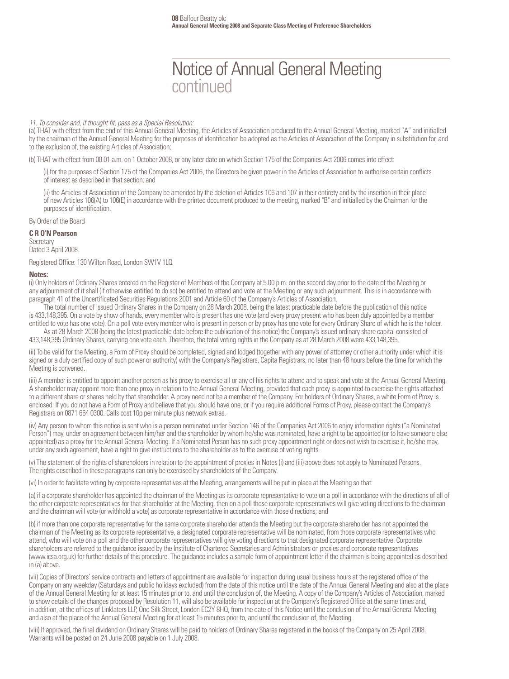## Notice of Annual General Meeting continued

*11. To consider and, if thought fit, pass as a Special Resolution:*

(a) THAT with effect from the end of this Annual General Meeting, the Articles of Association produced to the Annual General Meeting, marked "A" and initialled by the chairman of the Annual General Meeting for the purposes of identification be adopted as the Articles of Association of the Company in substitution for, and to the exclusion of, the existing Articles of Association;

(b) THAT with effect from 00.01 a.m. on 1 October 2008, or anylater date on which Section 175 of the Companies Act 2006 comesinto effect:

(i) for the purposes of Section 175 of the Companies Act 2006, the Directors be given power in the Articles of Association to authorise certain conflicts of interest as described in thatsection; and

(ii) the Articles of Association of the Company be amended bythe deletion of Articles 106 and 107 in their entirety and bythe insertion in their place of new Articles 106(A) to 106(E) in accordance with the printed document produced to the meeting, marked "B" and initialled bythe Chairman for the purposes of identification.

By Order of the Board

## **C R O'N Pearson**

**Secretary** Dated 3 April 2008

Registered Office: 130 Wilton Road, London SW1V 1LQ

## **Notes:**

(i) Only holders of Ordinary Shares entered on the Register of Members of the Company at 5.00 p.m. on the second day prior to the date of the Meeting or any adjournment of itshall (if otherwise entitled to do so) be entitled to attend and vote at the Meeting or anysuch adjournment. Thisisin accordance with paragraph 41 of the Uncertificated Securities Regulations 2001 and Article 60 of the Company's Articles of Association.

The total number of issued Ordinary Shares in the Company on 28 March 2008, being the latest practicable date before the publication of this notice is 433,148,395. On a vote byshow of hands, every member who is present has one vote (and every proxy present who has been duly appointed by a member entitled to vote has one vote). On a pollvote every member who is present in person or by proxy has one vote for every Ordinary Share of which he isthe holder.

As at 28 March 2008 (being the latest practicable date before the publication of this notice) the Company's issued ordinary share capital consisted of 433,148,395 Ordinary Shares, carrying one vote each. Therefore, the total voting rights in the Company as at 28 March 2008 were 433,148,395.

(ii) To be valid for the Meeting, a Form of Proxy should be completed, signed and lodged (together with any power of attorney or other authority under which it is signed or a duly certified copy of such power or authority) with the Company's Registrars, Capita Registrars, no later than 48 hours before the time for which the Meeting is convened.

(iii) A member is entitled to appoint another person as his proxy to exercise all or any of his rights to attend and to speak and vote at the Annual General Meeting. A shareholder may appoint more than one proxyin relation to the Annual General Meeting, provided that each proxyis appointed to exercise the rights attached to a different share or shares held by that shareholder. A proxy need not be a member of the Company. For holders of Ordinary Shares, a white Form of Proxy is enclosed. If you do not have a Form of Proxy and believe that you should have one, or if you require additional Forms of Proxy, please contact the Company's Registrars on 0871 664 0300. Calls cost 10p per minute plus network extras.

(iv) Any person to whom this notice issent who is a person nominated under Section 146 of the Companies Act 2006 to enjoyinformation rights("a Nominated Person") may, under an agreement between him/her and the shareholder by whom he/she was nominated, have a right to be appointed (or to have someone else appointed) as a proxyfor the Annual General Meeting. If a Nominated Person has no such proxy appointment right or does not wish to exercise it, he/she may, under any such agreement, have a right to give instructions to the shareholder as to the exercise of voting rights.

(v) The statement of the rights ofshareholdersin relation to the appointment of proxiesin Notes(i) and (iii) above does not applyto Nominated Persons. The rights described in these paragraphs can only be exercised by shareholders of the Company.

(vi) In order to facilitate voting bycorporate representatives at the Meeting, arrangements will be put in place at the Meeting so that:

(a) if a corporate shareholder has appointed the chairman of the Meeting asitscorporate representative to vote on a poll in accordance with the directions of all of the other corporate representatives for that shareholder at the Meeting, then on a poll those corporate representatives will give voting directions to the chairman and the chairman will vote (or withhold a vote) as corporate representative in accordance with those directions; and

(b) if more than one corporate representative for the same corporate shareholder attends the Meeting but the corporate shareholder has not appointed the chairman of the Meeting asitscorporate representative, a designated corporate representative will be nominated, from those corporate representatives who attend, who will vote on a poll and the other corporate representatives will give voting directions to that designated corporate representative. Corporate shareholders are referred to the guidance issued bythe Institute of Chartered Secretaries and Administrators on proxies and corporate representatives (www.icsa.org.uk) for further details of this procedure. The guidance includes a sample form of appointment letter if the chairman is being appointed as described in (a) above.

(vii) Copies of Directors'service contracts and letters of appointment are available for inspection during usual business hours at the registered office of the Company on any weekday(Saturdays and public holidays excluded) from the date of this notice until the date of the Annual General Meeting and also at the place of the Annual General Meeting for at least 15 minutes prior to, and until the conclusion of, the Meeting. A copy of the Company's Articles of Association, marked to show details of the changes proposed by Resolution 11, will also be available for inspection at the Company's Registered Office at the same times and, in addition, at the offices of Linklaters LLP, One Silk Street, London EC2Y 8HQ, from the date of this Notice until the conclusion of the Annual General Meeting and also at the place of the Annual General Meeting for at least 15 minutes prior to, and until the conclusion of, the Meeting.

(viii) If approved, the final dividend on Ordinary Shares will be paid to holders of Ordinary Shares registered in the books of the Company on 25 April 2008. Warrants will be posted on 24 June 2008 payable on 1 July 2008.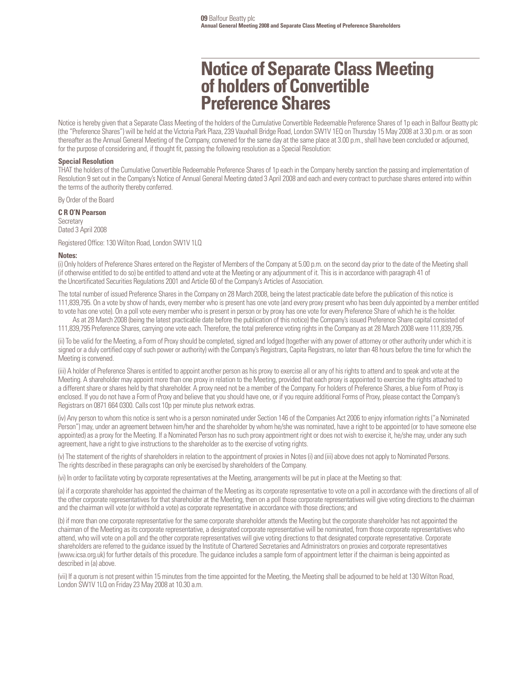## **Notice of Separate Class Meeting of holders of Convertible Preference Shares**

Notice is hereby given that a Separate Class Meeting of the holders of the Cumulative Convertible Redeemable Preference Shares of 1p each in Balfour Beatty plc (the "Preference Shares") will be held at the Victoria Park Plaza, 239 Vauxhall Bridge Road,London SW1V 1EQ on Thursday 15 May 2008 at 3.30 p.m. or assoon thereafter as the Annual General Meeting of the Company, convened for the same day at the same place at 3.00 p.m., shall have been concluded or adjourned, for the purpose of considering and, if thought fit, passing the following resolution as a Special Resolution:

## **Special Resolution**

THAT the holders of the Cumulative Convertible Redeemable Preference Shares of 1p each in the Company herebysanction the passing and implementation of Resolution 9 set out in the Company's Notice of Annual General Meeting dated 3 April 2008 and each and everycontract to purchase shares entered into within the terms of the authority thereby conferred.

By Order of the Board

**C R O'N Pearson Secretary** Dated 3 April 2008

Registered Office: 130 Wilton Road, London SW1V 1LQ

## **Notes:**

(i) Only holders of Preference Shares entered on the Register of Members of the Company at 5.00 p.m. on the second day prior to the date of the Meeting shall (if otherwise entitled to do so) be entitled to attend and vote at the Meeting or any adjournment of it. Thisisin accordance with paragraph 41 of the Uncertificated Securities Regulations 2001 and Article 60 of the Company's Articles of Association.

The total number of issued Preference Sharesin the Company on 28 March 2008, being the latest practicable date before the publication of this notice is 111,839,795. On a vote byshow of hands, every member who is present has one vote (and every proxy present who has been duly appointed by a member entitled to vote has one vote). On a poll vote every member who is present in person or by proxy has one vote for every Preference Share of which he is the holder.

As at 28 March 2008 (being the latest practicable date before the publication of this notice) the Company's issued Preference Share capital consisted of 111,839,795 Preference Shares,carrying one vote each. Therefore, the total preference voting rightsin the Company as at 28 March 2008 were 111,839,795.

(ii) To be valid for the Meeting, a Form of Proxy should be completed, signed and lodged (together with any power of attorney or other authority under which it is signed or a duly certified copy of such power or authority) with the Company's Registrars, Capita Registrars, no later than 48 hours before the time for which the Meeting is convened.

(iii) A holder of Preference Shares is entitled to appoint another person as his proxy to exercise all or any of his rights to attend and to speak and vote at the Meeting. A shareholder may appoint more than one proxyin relation to the Meeting, provided that each proxyis appointed to exercise the rights attached to a different share or shares held by that shareholder. A proxy need not be a member of the Company. For holders of Preference Shares, a blue Form of Proxy is enclosed. If you do not have a Form of Proxy and believe that you should have one, or if you require additional Forms of Proxy, please contact the Company's Registrars on 0871 664 0300. Calls cost 10p per minute plus network extras.

(iv) Any person to whom this notice issent who is a person nominated under Section 146 of the Companies Act 2006 to enjoyinformation rights("a Nominated Person") may, under an agreement between him/her and the shareholder by whom he/she was nominated, have a right to be appointed (or to have someone else appointed) as a proxy for the Meeting. If a Nominated Person has no such proxy appointment right or does not wish to exercise it, he/she may, under any such agreement, have a right to give instructions to the shareholder as to the exercise of voting rights.

(v) The statement of the rights ofshareholdersin relation to the appointment of proxiesin Notes(i) and (iii) above does not applyto Nominated Persons. The rights described in these paragraphs can only be exercised by shareholders of the Company.

(vi) In order to facilitate voting bycorporate representatives at the Meeting, arrangements will be put in place at the Meeting so that:

(a) if a corporate shareholder has appointed the chairman of the Meeting asitscorporate representative to vote on a poll in accordance with the directions of all of the other corporate representatives for that shareholder at the Meeting, then on a poll those corporate representatives will give voting directions to the chairman and the chairman will vote (or withhold a vote) as corporate representative in accordance with those directions; and

(b) if more than one corporate representative for the same corporate shareholder attends the Meeting but the corporate shareholder has not appointed the chairman of the Meeting as its corporate representative, a designated corporate representative will be nominated, from those corporate representatives who attend, who will vote on a poll and the other corporate representatives will give voting directions to that designated corporate representative. Corporate shareholders are referred to the guidance issued bythe Institute of Chartered Secretaries and Administrators on proxies and corporate representatives (www.icsa.org.uk) for further details of this procedure. The guidance includes a sample form of appointment letter if the chairman is being appointed as described in (a) above.

(vii) If a quorum is not present within 15 minutes from the time appointed for the Meeting, the Meeting shall be adjourned to be held at 130 Wilton Road, London SW1V 1LQ on Friday 23 May 2008 at 10.30 a.m.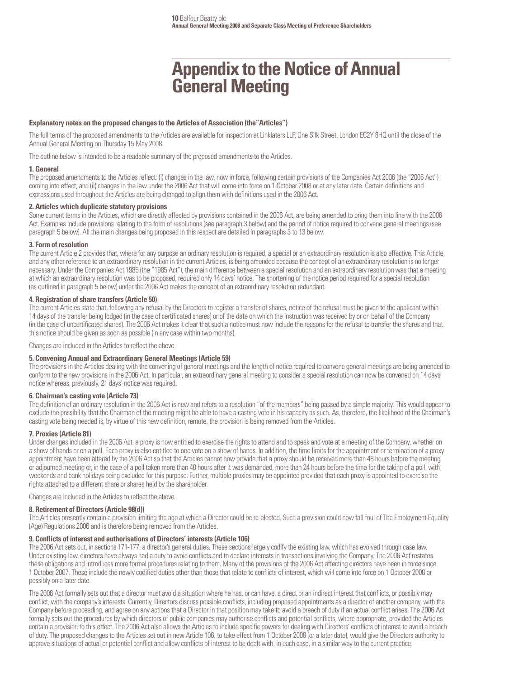# **Appendix to the Notice of Annual General Meeting**

## **Explanatory notes on the proposed changes to the Articles of Association (the"Articles")**

The full terms of the proposed amendments to the Articles are available for inspection at Linklaters LLP, One Silk Street, London EC2Y 8HQ until the close of the Annual General Meeting on Thursday 15 May 2008.

The outline below is intended to be a readable summary of the proposed amendments to the Articles.

## **1. General**

The proposed amendments to the Articles reflect: (i) changes in the law, now in force, following certain provisions of the Companies Act 2006 (the "2006 Act") coming into effect; and (ii) changes in the law under the 2006 Act that will come into force on 1 October 2008 or at any later date. Certain definitions and expressions used throughout the Articles are being changed to align them with definitions used in the 2006 Act.

## **2. Articles which duplicate statutory provisions**

Some current terms in the Articles, which are directly affected by provisions contained in the 2006 Act, are being amended to bring them into line with the 2006 Act. Examples include provisions relating to the form of resolutions (see paragraph 3 below) and the period of notice required to convene general meetings (see paragraph 5 below). All the main changes being proposed in thisrespect are detailed in paragraphs 3 to 13 below.

## **3. Form of resolution**

The current Article 2 provides that, where for any purpose an ordinary resolution is required, a special or an extraordinary resolution is also effective. This Article, and any other reference to an extraordinary resolution in the current Articles, is being amended because the concept of an extraordinary resolution is no longer necessary. Under the Companies Act 1985 (the "1985 Act"), the main difference between a special resolution and an extraordinaryresolution wasthat a meeting at which an extraordinaryresolution wasto be proposed, required only 14 days' notice. The shortening of the notice period required for a special resolution (as outlined in paragraph 5 below) under the 2006 Act makes the concept of an extraordinary resolution redundant.

## **4. Registration of share transfers (Article 50)**

The current Articles state that, following any refusal by the Directors to register a transfer of shares, notice of the refusal must be given to the applicant within 14 days of the transfer being lodged (in the case ofcertificated shares) or of the date on which the instruction wasreceived by or on behalf of the Company (in the case of uncertificated shares). The 2006 Act makes it clear that such a notice must now include the reasons for the refusal to transfer the shares and that this notice should be given as soon as possible (in any case within two months).

Changes are included in the Articles to reflect the above.

## **5. Convening Annual and Extraordinary General Meetings (Article 59)**

The provisions in the Articles dealing with the convening of general meetings and the length of notice required to convene general meetings are being amended to conform to the new provisions in the 2006 Act. In particular, an extraordinary general meeting to consider a special resolution can now be convened on 14 days' notice whereas, previously, 21 days' notice was required.

## **6. Chairman's casting vote (Article 73)**

The definition of an ordinary resolution in the 2006 Act is new and refers to a resolution "of the members" being passed by a simple majority. This would appear to exclude the possibility that the Chairman of the meeting might be able to have a casting vote in his capacity as such. As, therefore, the likelihood of the Chairman's casting vote being needed is, byvirtue of this new definition, remote, the provision is being removed from the Articles.

## **7. Proxies (Article 81)**

Under changes included in the 2006 Act, a proxy is now entitled to exercise the rights to attend and to speak and vote at a meeting of the Company, whether on a show of hands or on a poll. Each proxy is also entitled to one vote on a show of hands. In addition, the time limits for the appointment or termination of a proxy appointment have been altered by the 2006 Act so that the Articles cannot now provide that a proxy should be received more than 48 hours before the meeting or adjourned meeting or, in the case of a poll taken more than 48 hours after it was demanded, more than 24 hours before the time for the taking of a poll, with weekends and bank holidays being excluded for this purpose. Further, multiple proxies may be appointed provided that each proxy is appointed to exercise the rights attached to a different share or shares held by the shareholder.

Changes are included in the Articles to reflect the above.

## **8. Retirement of Directors (Article 98(d))**

The Articles presently contain a provision limiting the age at which a Director could be re-elected. Such a provision could now fall foul of The Employment Equality (Age) Regulations 2006 and is therefore being removed from the Articles.

## **9. Conflicts of interest and authorisations of Directors' interests (Article 106)**

The 2006 Act sets out, in sections 171-177, a director's general duties. These sections largely codify the existing law, which has evolved through case law. Under existing law, directors have always had a duty to avoid conflicts and to declare interests in transactions involving the Company. The 2006 Act restates these obligations and introduces more formal procedures relating to them. Many of the provisions of the 2006 Act affecting directors have been in force since 1 October 2007. These include the newlycodified duties other than those that relate to conflicts of interest, which willcome into force on 1 October 2008 or possibly on a later date.

The 2006 Act formally sets out that a director must avoid a situation where he has, or can have, a direct or an indirect interest that conflicts, or possibly may conflict, with the company's interests. Currently, Directors discuss possible conflicts, including proposed appointments as a director of another company, with the Company before proceeding, and agree on any actions that a Director in that position may take to avoid a breach of duty if an actual conflict arises. The 2006 Act formally sets out the procedures by which directors of public companies may authorise conflicts and potential conflicts, where appropriate, provided the Articles contain a provision to this effect. The 2006 Act also allows the Articles to include specific powers for dealing with Directors' conflicts of interest to avoid a breach of duty. The proposed changes to the Articles set out in new Article 106, to take effect from 1 October 2008 (or a later date), would give the Directors authority to approve situations of actual or potential conflict and allow conflicts of interest to be dealt with, in each case, in a similar way to the current practice.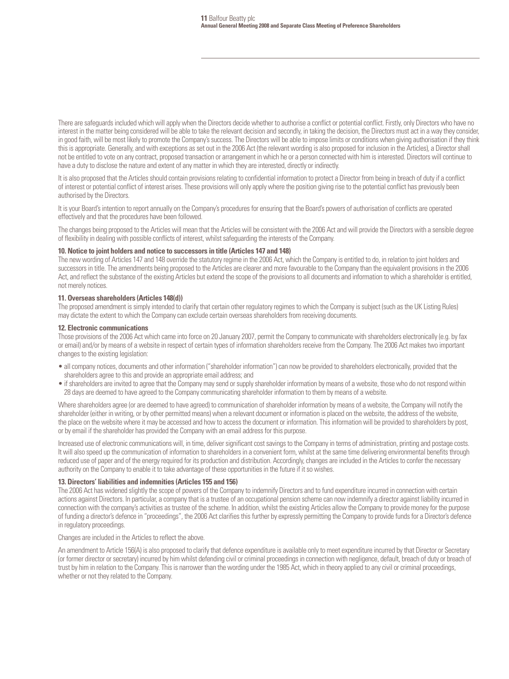There are safequards included which will apply when the Directors decide whether to authorise a conflict or potential conflict. Firstly, only Directors who have no interest in the matter being considered will be able to take the relevant decision and secondly, in taking the decision, the Directors must act in a waytheyconsider, in good faith, will be most likely to promote the Company's success. The Directors will be able to impose limits or conditions when giving authorisation if they think thisis appropriate. Generally, and with exceptions asset out in the 2006 Act (the relevant wording is also proposed for inclusion in the Articles), a Directorshall not be entitled to vote on anycontract, proposed transaction or arrangement in which he or a person connected with him isinterested. Directors willcontinue to have a dutyto disclose the nature and extent of any matter in which they are interested, directly or indirectly.

It is also proposed that the Articles should contain provisions relating to confidential information to protect a Director from being in breach of duty if a conflict of interest or potentialconflict of interest arises. These provisions will only apply where the position giving rise to the potentialconflict has previously been authorised bythe Directors.

It is your Board's intention to report annually on the Company's procedures for ensuring that the Board's powers of authorisation of conflicts are operated effectively and that the procedures have been followed.

The changes being proposed to the Articles will mean that the Articles will be consistent with the 2006 Act and will provide the Directors with a sensible degree of flexibilityin dealing with possible conflicts of interest, whilstsafeguarding the interests of the Company.

### **10. Notice to joint holders and notice to successors in title (Articles 147 and 148)**

The new wording of Articles 147 and 148 override the statutory regime in the 2006 Act, which the Company is entitled to do, in relation to joint holders and successors in title. The amendments being proposed to the Articles are clearer and more favourable to the Company than the equivalent provisions in the 2006 Act, and reflect the substance of the existing Articles but extend the scope of the provisions to all documents and information to which a shareholder is entitled. not merely notices.

## **11. Overseas shareholders (Articles 148(d))**

The proposed amendment is simply intended to clarify that certain other regulatory regimes to which the Company is subject (such as the UK Listing Rules) may dictate the extent to which the Company can exclude certain overseas shareholders from receiving documents.

## **12. Electronic communications**

Those provisions of the 2006 Act which came into force on 20 January 2007, permit the Companyto communicate with shareholders electronically(e.g. byfax or email) and/or by means of a website in respect of certain types of information shareholders receive from the Company. The 2006 Act makes two important changes to the existing legislation:

- all company notices, documents and other information ("shareholder information") can now be provided to shareholders electronically, provided that the shareholders agree to this and provide an appropriate email address; and
- if shareholders are invited to agree that the Company may send or supply shareholder information by means of a website, those who do not respond within 28 days are deemed to have agreed to the Companycommunicating shareholder information to them by means of a website.

Where shareholders agree (or are deemed to have agreed) to communication of shareholder information by means of a website, the Company will notify the shareholder (either in writing, or by other permitted means) when a relevant document or information is placed on the website, the address of the website, the place on the website where it may be accessed and how to access the document or information. This information will be provided to shareholders by post, or by email if the shareholder has provided the Company with an email address for this purpose.

Increased use of electronic communications will, in time, deliver significant cost savings to the Company in terms of administration, printing and postage costs. It will also speed up the communication of information to shareholders in a convenient form, whilst at the same time delivering environmental benefits through reduced use of paper and of the energy required for its production and distribution. Accordingly, changes are included in the Articles to confer the necessary authority on the Company to enable it to take advantage of these opportunities in the future if it so wishes.

## **13. Directors' liabilities and indemnities (Articles 155 and 156)**

The 2006 Act has widened slightly the scope of powers of the Company to indemnify Directors and to fund expenditure incurred in connection with certain actions against Directors. In particular, a companythat is a trustee of an occupational pension scheme can now indemnify a director against liabilityincurred in connection with the company's activities astrustee of the scheme. In addition, whilst the existing Articles allow the Companyto provide moneyfor the purpose of funding a director's defence in "proceedings", the 2006 Act clarifies this further by expressly permitting the Company to provide funds for a Director's defence in regulatory proceedings.

Changes are included in the Articles to reflect the above.

An amendment to Article 156(A) is also proposed to clarifythat defence expenditure is available onlyto meet expenditure incurred bythat Director or Secretary (or former director orsecretary) incurred by him whilst defending civil orcriminal proceedingsin connection with negligence, default, breach of duty or breach of trust by him in relation to the Company. Thisis narrower than the wording under the 1985 Act, which in theory applied to anycivil orcriminal proceedings, whether or not they related to the Company.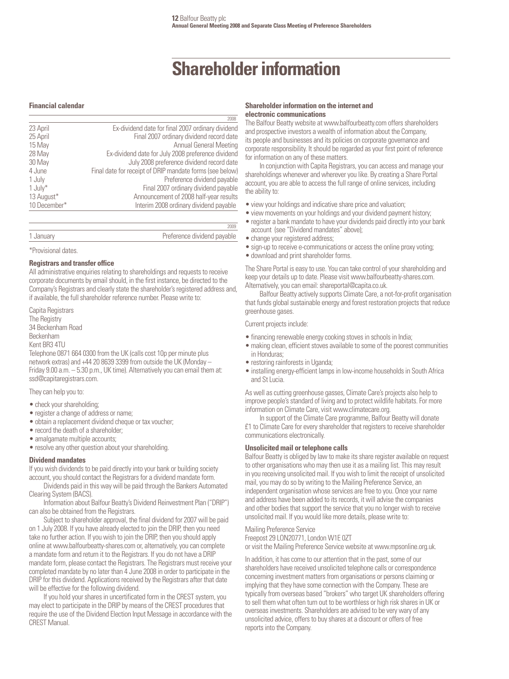# **Shareholder information**

## **Financial calendar**

|              | 2008                                                     |
|--------------|----------------------------------------------------------|
| 23 April     | Ex-dividend date for final 2007 ordinary dividend        |
| 25 April     | Final 2007 ordinary dividend record date                 |
| 15 May       | Annual General Meeting                                   |
| 28 May       | Ex-dividend date for July 2008 preference dividend       |
| 30 May       | July 2008 preference dividend record date                |
| 4 June       | Final date for receipt of DRIP mandate forms (see below) |
| 1 July       | Preference dividend payable                              |
| $1$ July $*$ | Final 2007 ordinary dividend payable                     |
| 13 August*   | Announcement of 2008 half-year results                   |
| 10 December* | Interim 2008 ordinary dividend payable                   |

2009 1 January Preference dividend payable

\*Provisional dates.

## **Registrars and transfer office**

All administrative enquiries relating to shareholdings and requests to receive corporate documents by email should, in the first instance, be directed to the Company's Registrars and clearly state the shareholder's registered address and, if available, the full shareholder reference number. Please write to:

Capita Registrars The Registry 34 Beckenham Road Beckenham

Kent BR3 4TU

Telephone 0871 664 0300 from the UK (calls cost 10p per minute plus network extras) and +44 20 8639 3399 from outside the UK (Monday – Friday 9.00 a.m. - 5.30 p.m., UK time). Alternatively you can email them at: ssd@capitaregistrars.com.

Theycan help you to:

- check your shareholding;
- register a change of address or name;
- obtain a replacement dividend cheque or tax voucher;
- record the death of a shareholder:
- amalgamate multiple accounts;
- resolve any other question about your shareholding.

## **Dividend mandates**

If you wish dividends to be paid directly into your bank or building society account, you should contact the Registrars for a dividend mandate form.

Dividends paid in this way will be paid through the Bankers Automated Clearing System (BACS).

Information about Balfour Beatty's Dividend Reinvestment Plan ("DRIP") can also be obtained from the Registrars.

Subject to shareholder approval, the final dividend for 2007 will be paid on 1 July 2008. If you have already elected to join the DRIP, then you need take no further action. If you wish to join the DRIP, then you should apply online at www.balfourbeatty-shares.com or, alternatively,you can complete a mandate form and return it to the Registrars. If you do not have a DRIP mandate form, please contact the Registrars. The Registrars must receive your completed mandate by no later than 4 June 2008 in order to participate in the DRIP for this dividend. Applications received by the Registrars after that date will be effective for the following dividend.

If you hold your shares in uncertificated form in the CREST system, you may elect to participate in the DRIP by means of the CREST procedures that require the use of the Dividend Election Input Message in accordance with the CREST Manual.

## **Shareholder information on the internet and electronic communications**

The Balfour Beatty website at www.balfourbeatty.com offers shareholders and prospective investors a wealth of information about the Company, its people and businesses and its policies on corporate governance and corporate responsibility. It should be regarded as your first point of reference for information on any of these matters.

In conjunction with Capita Registrars, you can access and manage your shareholdings whenever and wherever you like. By creating a Share Portal account, you are able to access the full range of online services, including the ability to:

- view your holdings and indicative share price and valuation;
- view movements on your holdings and your dividend payment history; • register a bank mandate to have your dividends paid directly into your bank
- account (see "Dividend mandates" above);
- change your registered address;
- sign-up to receive e-communications or access the online proxy voting;
- download and print shareholder forms.

The Share Portal is easy to use. You can take control of your shareholding and keep your details up to date. Please visit www.balfourbeatty-shares.com. Alternatively, you can email: shareportal@capita.co.uk.

Balfour Beatty actively supports Climate Care, a not-for-profit organisation that funds global sustainable energy and forest restoration projects that reduce greenhouse gases.

Current projects include:

- financing renewable energy cooking stoves in schools in India;
- making clean, efficient stoves available to some of the poorest communities in Honduras;
- restoring rainforests in Uganda;
- installing energy-efficient lamps in low-income households in South Africa and StLucia.

As well as cutting greenhouse gasses, Climate Care's projects also help to improve people's standard of living and to protect wildlife habitats. For more information on Climate Care, visit www.climatecare.org.

In support of the Climate Care programme, Balfour Beatty will donate £1 to Climate Care for every shareholder that registers to receive shareholder communications electronically.

## **Unsolicited mail or telephone calls**

Balfour Beatty is obliged by law to make its share register available on request to other organisations who maythen use it as a mailing list. This mayresult in you receiving unsolicited mail. If you wish to limit the receipt of unsolicited mail,you may do so by writing to the Mailing Preference Service, an independent organisation whose services are free to you. Once your name and address have been added to itsrecords, it will advise the companies and other bodies that support the service that you no longer wish to receive unsolicited mail. If you would like more details, please write to:

Mailing Preference Service Freepost 29 LON20771, London W1E 0ZT

or visit the Mailing Preference Service website at www.mpsonline.org.uk.

In addition, it has come to our attention that in the past, some of our shareholders have received unsolicited telephone calls or correspondence concerning investment matters from organisations or persons claiming or implying that they have some connection with the Company. These are typically from overseas based "brokers" who target UK shareholders offering to sell them what often turn out to be worthless or high risk shares in UK or overseas investments. Shareholders are advised to be very wary of any unsolicited advice, offers to buy shares at a discount or offers of free reports into the Company.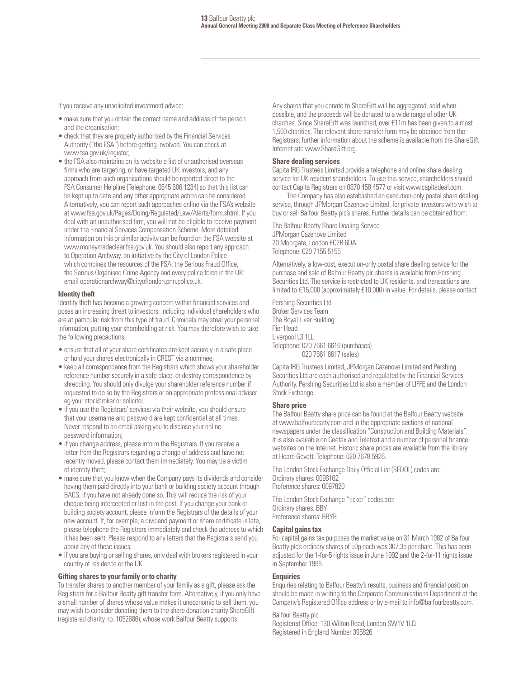If you receive any unsolicited investment advice:

- make sure that you obtain the correct name and address of the person and the organisation;
- check that they are properly authorised by the Financial Services Authority("the FSA") before getting involved. You can check at www.fsa.gov.uk/register;
- the FSA also maintains on its website a list of unauthorised overseas firms who are targeting, or have targeted UK investors, and any approach from such organisations should be reported direct to the FSA Consumer Helpline (Telephone: 0845 606 1234) so that this list can be kept up to date and any other appropriate action can be considered. Alternatively, you can report such approaches online via the FSA's website at www.fsa.gov.uk/Pages/Doing/Regulated/Law/Alerts/form.shtml. If you deal with an unauthorised firm, you will not be eligible to receive payment under the Financial Services Compensation Scheme. More detailed information on this or similar activity can be found on the FSA website at www.moneymadeclear.fsa.gov.uk. You should also report any approach to Operation Archway, an initiative by the City of London Police which combines the resources of the FSA, the Serious Fraud Office, the Serious Organised Crime Agency and every police force in the UK: email operationarchway@cityoflondon.pnn.police.uk.

## **Identity theft**

Identity theft has become a growing concern within financial services and poses an increasing threat to investors, including individual shareholders who are at particular risk from this type of fraud. Criminals may steal your personal information, putting your shareholding at risk. You may therefore wish to take the following precautions:

- $\bullet$  ensure that all of your share certificates are kept securely in a safe place or hold your shares electronically in CREST via a nominee;
- $\bullet$  keep all correspondence from the Registrars which shows your shareholder reference number securely in a safe place, or destroy correspondence by shredding. You should only divulge yourshareholder reference number if requested to do so bythe Registrars or an appropriate professional adviser eg your stockbroker or solicitor;
- if you use the Registrars' services via their website, you should ensure that your username and password are kept confidential at all times. Never respond to an email asking you to disclose your online password information;
- $\bullet$  if you change address, please inform the Registrars. If you receive a letter from the Registrars regarding a change of address and have not recently moved, please contact them immediately. You may be a victim of identity theft;
- make sure that you know when the Company pays its dividends and consider having them paid directly into your bank or building society account through BACS, if you have not already done so. This will reduce the risk of your cheque being intercepted or lost in the post. If you change your bank or building society account, please inform the Registrars of the details of your new account. If, for example, a dividend payment or share certificate is late, please telephone the Registrars immediately and check the address to which it has been sent. Please respond to any letters that the Registrars send you about any of these issues;
- if you are buying or selling shares, only deal with brokers registered in your country of residence or the UK.

## **Gifting shares to your family or to charity**

To transfer shares to another member of your family as a gift, please ask the Registrars for a Balfour Beatty gift transfer form. Alternatively, if you only have a small number of shares whose value makes it uneconomic to sell them, you may wish to consider donating them to the share donation charity ShareGift (registered charity no. 1052686), whose work Balfour Beatty supports.

Any shares that you donate to ShareGift will be aggregated, sold when possible, and the proceeds will be donated to a wide range of other UK charities. Since ShareGift waslaunched, over £11m has been given to almost 1,500 charities. The relevant share transfer form may be obtained from the Registrars; further information about the scheme is available from the ShareGift Internet site www.ShareGift.org.

## **Share dealing services**

Capita IRG Trustees Limited provide a telephone and online share dealing service for UK resident shareholders. To use this service, shareholders should contact Capita Registrars on 0870 458 4577 or visit www.capitadeal.com.

The Company has also established an execution-only postal share dealing service, through JPMorgan Cazenove Limited, for private investors who wish to buy or sell Balfour Beatty plc's shares. Further details can be obtained from:

The Balfour Beatty Share Dealing Service JPMorgan Cazenove Limited 20 Moorgate, London EC2R 6DA Telephone: 020 7155 5155

Alternatively, a low-cost, execution-only postal share dealing service for the purchase and sale of Balfour Beatty plc shares is available from Pershing Securities Ltd. The service is restricted to UK residents, and transactions are limited to **a**15,000 (approximately £10,000) in value.For details, please contact:

Pershing Securities Ltd Broker Services Team The Royal Liver Building Pier Head Liverpool L3 1LL Telephone: 020 7661 6616 (purchases) 020 7661 6617 (sales)

Capita IRG Trustees Limited, JPMorgan Cazenove Limited and Pershing Securities Ltd are each authorised and regulated by the Financial Services Authority. Pershing Securities Ltd is also a member of LIFFE and the London Stock Exchange.

## **Share price**

The Balfour Beatty share price can be found at the Balfour Beatty website at www.balfourbeatty.com and in the appropriate sections of national newspapers under the classification "Construction and Building Materials". It is also available on Ceefax and Teletext and a number of personal finance websites on the Internet. Historic share prices are available from the library at Hoare Govett. Telephone: 020 7678 5926.

The London Stock Exchange Daily Official List (SEDOL) codes are: Ordinaryshares: 0096162 Preference shares: 0097820

The London Stock Exchange "ticker" codes are: Ordinary shares: BBY Preference shares: BBYB

## **Capital gains tax**

For capital gains tax purposes the market value on 31 March 1982 of Balfour Beatty plc's ordinaryshares of 50p each was 307.3p pershare. This has been adjusted for the 1-for-5 rights issue in June 1992 and the 2-for-11 rights issue in September 1996.

## **Enquiries**

Enquiries relating to Balfour Beatty's results, business and financial position should be made in writing to the Corporate Communications Department at the Company's Registered Office address or by e-mail to info@balfourbeatty.com.

## Balfour Beatty plc

Registered Office: 130 Wilton Road, London SW1V 1LQ Registered in England Number 395826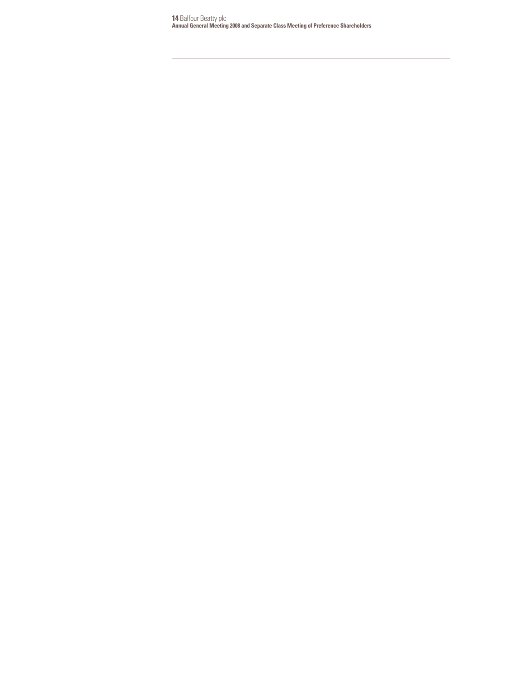Balfour Beatty plc **Annual General Meeting 2008 and Separate Class Meeting of Preference Shareholders**